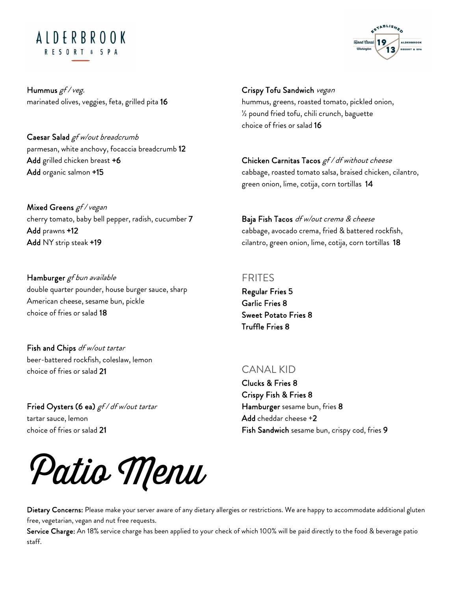# ALDERBROOK RESORT & SPA



Hummus gf / veg. marinated olives, veggies, feta, grilled pita 16

Caesar Salad gf w/out breadcrumb parmesan, white anchovy, focaccia breadcrumb 12 Add grilled chicken breast +6 Add organic salmon +15

Mixed Greens *gf / vegan* cherry tomato, baby bell pepper, radish, cucumber 7 Add prawns +12 Add NY strip steak +19

Hamburger gf bun available double quarter pounder, house burger sauce, sharp American cheese, sesame bun, pickle choice of fries or salad 18

Fish and Chips df w/out tartar beer-battered rockfish, coleslaw, lemon choice of fries or salad 21

Fried Oysters (6 ea) gf / df w/out tartar tartar sauce, lemon choice of fries or salad 21



Crispy Tofu Sandwich vegan hummus, greens, roasted tomato, pickled onion, ½ pound fried tofu, chili crunch, baguette choice of fries or salad 16

Chicken Carnitas Tacos gf / df without cheese cabbage, roasted tomato salsa, braised chicken, cilantro, green onion, lime, cotija, corn tortillas 14

Baja Fish Tacos df w/out crema & cheese cabbage, avocado crema, fried & battered rockfish, cilantro, green onion, lime, cotija, corn tortillas 18

#### FRITES

Regular Fries 5 Garlic Fries 8 Sweet Potato Fries 8 Truffle Fries 8

### CANAL KID

Clucks & Fries 8 Crispy Fish & Fries 8 Hamburger sesame bun, fries 8 Add cheddar cheese +2 Fish Sandwich sesame bun, crispy cod, fries 9

Dietary Concerns: Please make your server aware of any dietary allergies or restrictions. We are happy to accommodate additional gluten free, vegetarian, vegan and nut free requests.

Service Charge: An 18% service charge has been applied to your check of which 100% will be paid directly to the food & beverage patio staff.